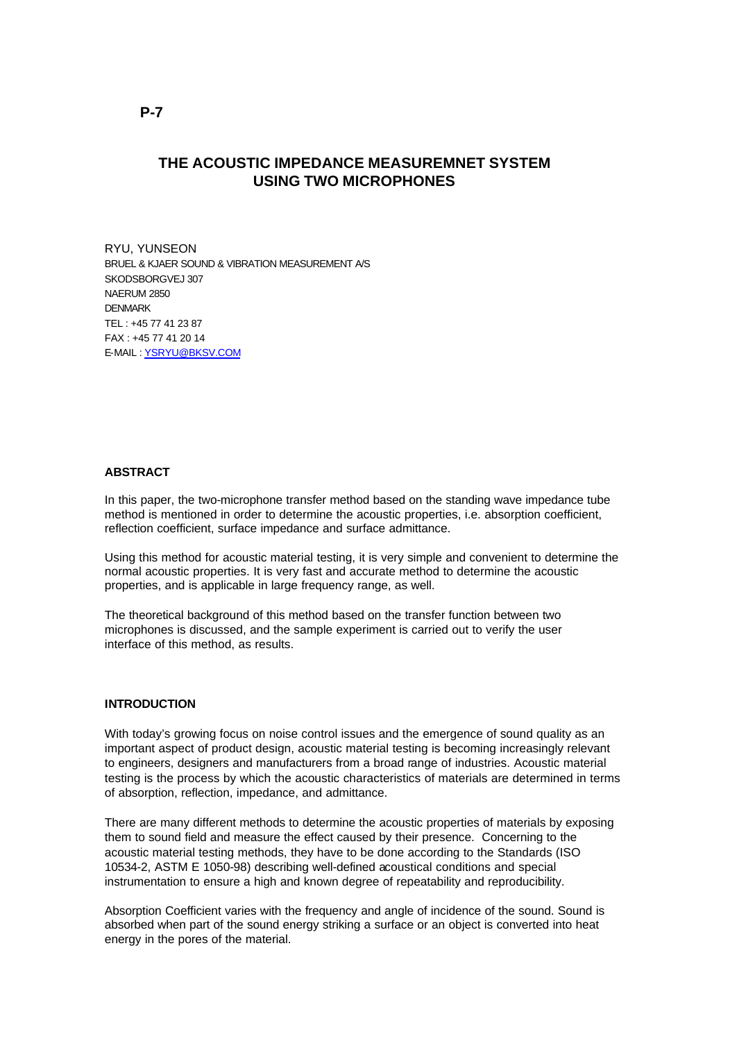# **THE ACOUSTIC IMPEDANCE MEASUREMNET SYSTEM USING TWO MICROPHONES**

RYU, YUNSEON BRUEL & KJAER SOUND & VIBRATION MEASUREMENT A/S SKODSBORGVEJ 307 NAERUM 2850 DENMARK TEL : +45 77 41 23 87  $FAX : +4577412014$ E-MAIL : YSRYU@BKSV.COM

#### **ABSTRACT**

In this paper, the two-microphone transfer method based on the standing wave impedance tube method is mentioned in order to determine the acoustic properties, i.e. absorption coefficient, reflection coefficient, surface impedance and surface admittance.

Using this method for acoustic material testing, it is very simple and convenient to determine the normal acoustic properties. It is very fast and accurate method to determine the acoustic properties, and is applicable in large frequency range, as well.

The theoretical background of this method based on the transfer function between two microphones is discussed, and the sample experiment is carried out to verify the user interface of this method, as results.

#### **INTRODUCTION**

With today's growing focus on noise control issues and the emergence of sound quality as an important aspect of product design, acoustic material testing is becoming increasingly relevant to engineers, designers and manufacturers from a broad range of industries. Acoustic material testing is the process by which the acoustic characteristics of materials are determined in terms of absorption, reflection, impedance, and admittance.

There are many different methods to determine the acoustic properties of materials by exposing them to sound field and measure the effect caused by their presence. Concerning to the acoustic material testing methods, they have to be done according to the Standards (ISO 10534-2, ASTM E 1050-98) describing well-defined acoustical conditions and special instrumentation to ensure a high and known degree of repeatability and reproducibility.

Absorption Coefficient varies with the frequency and angle of incidence of the sound. Sound is absorbed when part of the sound energy striking a surface or an object is converted into heat energy in the pores of the material.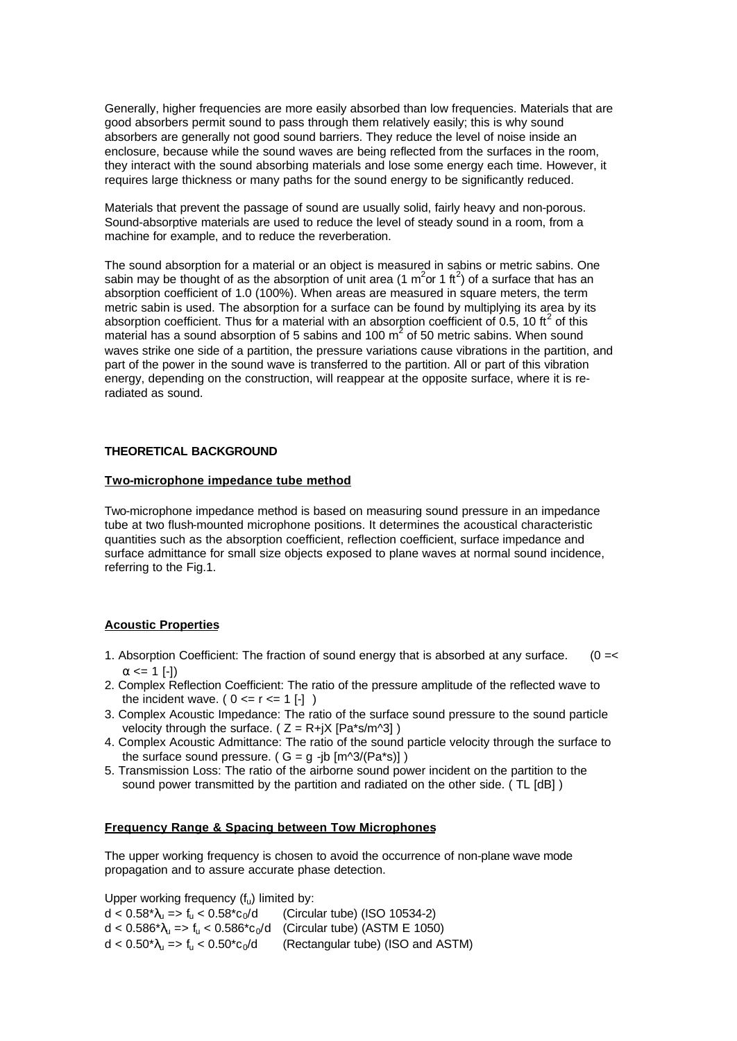Generally, higher frequencies are more easily absorbed than low frequencies. Materials that are good absorbers permit sound to pass through them relatively easily; this is why sound absorbers are generally not good sound barriers. They reduce the level of noise inside an enclosure, because while the sound waves are being reflected from the surfaces in the room, they interact with the sound absorbing materials and lose some energy each time. However, it requires large thickness or many paths for the sound energy to be significantly reduced.

Materials that prevent the passage of sound are usually solid, fairly heavy and non-porous. Sound-absorptive materials are used to reduce the level of steady sound in a room, from a machine for example, and to reduce the reverberation.

The sound absorption for a material or an object is measured in sabins or metric sabins. One sabin may be thought of as the absorption of unit area (1  $m^2$  or 1 ft<sup>2</sup>) of a surface that has an absorption coefficient of 1.0 (100%). When areas are measured in square meters, the term metric sabin is used. The absorption for a surface can be found by multiplying its area by its absorption coefficient. Thus for a material with an absorption coefficient of 0.5, 10 ft<sup>2</sup> of this material has a sound absorption of 5 sabins and 100  $m^2$  of 50 metric sabins. When sound waves strike one side of a partition, the pressure variations cause vibrations in the partition, and part of the power in the sound wave is transferred to the partition. All or part of this vibration energy, depending on the construction, will reappear at the opposite surface, where it is reradiated as sound.

## **THEORETICAL BACKGROUND**

### **Two-microphone impedance tube method**

Two-microphone impedance method is based on measuring sound pressure in an impedance tube at two flush-mounted microphone positions. It determines the acoustical characteristic quantities such as the absorption coefficient, reflection coefficient, surface impedance and surface admittance for small size objects exposed to plane waves at normal sound incidence, referring to the Fig.1.

## **Acoustic Properties**

- 1. Absorption Coefficient: The fraction of sound energy that is absorbed at any surface. (0 =<  $\alpha \leq 1$  [-1])
- 2. Complex Reflection Coefficient: The ratio of the pressure amplitude of the reflected wave to the incident wave.  $(0 \le r \le 1$  [-] )
- 3. Complex Acoustic Impedance: The ratio of the surface sound pressure to the sound particle velocity through the surface. ( $Z = R + iX [Pa*s/m^3]$ )
- 4. Complex Acoustic Admittance: The ratio of the sound particle velocity through the surface to the surface sound pressure. (  $G = g -jb [m^3/(Pa^*s)]$  )
- 5. Transmission Loss: The ratio of the airborne sound power incident on the partition to the sound power transmitted by the partition and radiated on the other side. ( TL [dB] )

#### **Frequency Range & Spacing between Tow Microphones**

The upper working frequency is chosen to avoid the occurrence of non-plane wave mode propagation and to assure accurate phase detection.

Upper working frequency  $(f_u)$  limited by:

 $d < 0.58^{\ast}\lambda_{1} = 5$  f<sub>u</sub>  $< 0.58^{\ast}c_{0}/d$  (Circular tube) (ISO 10534-2)  $d < 0.586^* \lambda_u = > f_u < 0.586^* c_0/d$  (Circular tube) (ASTM E 1050)  $d < 0.50^{\ast} \lambda_{u} \Rightarrow f_{u} < 0.50^{\ast} c_{0}/d$  (Rectangular tube) (ISO and ASTM)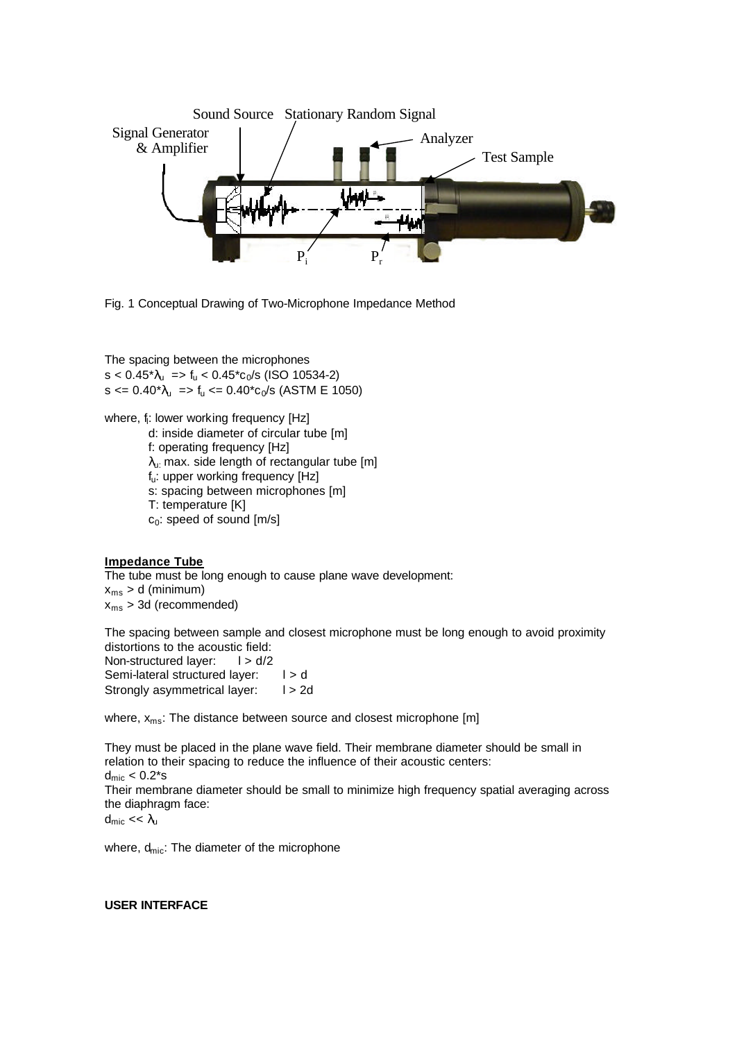

Fig. 1 Conceptual Drawing of Two-Microphone Impedance Method

The spacing between the microphones  $s < 0.45^* \lambda_u$  =>  $f_u < 0.45^* c_0/s$  (ISO 10534-2)  $s \le 0.40^* \lambda_u$  =>  $f_u \le 0.40^* c_0/s$  (ASTM E 1050)

- where, f<sub>i</sub>: lower working frequency [Hz]
	- d: inside diameter of circular tube [m]
	- f: operating frequency [Hz]
	- $\lambda_{\text{u}:}$  max. side length of rectangular tube [m]
	- fu: upper working frequency [Hz]
	- s: spacing between microphones [m]
	- T: temperature [K]
	- $c_0$ : speed of sound  $[m/s]$

## **Impedance Tube**

The tube must be long enough to cause plane wave development:  $x_{\text{ms}} > d$  (minimum)  $x_{\text{ms}}$  > 3d (recommended)

The spacing between sample and closest microphone must be long enough to avoid proximity distortions to the acoustic field: Non-structured layer:  $1 > d/2$ Semi-lateral structured layer:  $| > d$ Strongly asymmetrical layer:  $1 > 2d$ 

where, x<sub>ms</sub>: The distance between source and closest microphone [m]

They must be placed in the plane wave field. Their membrane diameter should be small in relation to their spacing to reduce the influence of their acoustic centers:  $d_{\text{mic}} < 0.2$ \*s Their membrane diameter should be small to minimize high frequency spatial averaging across the diaphragm face: dmic << λ<sup>u</sup>

where,  $d_{\text{mic}}$ : The diameter of the microphone

#### **USER INTERFACE**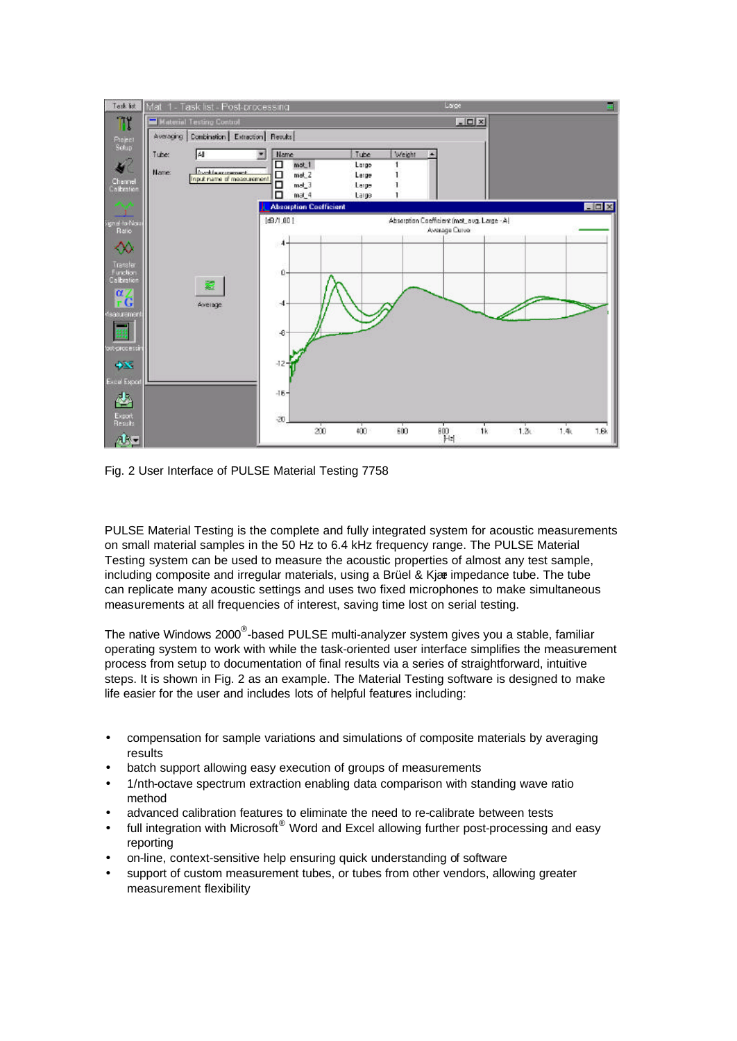

Fig. 2 User Interface of PULSE Material Testing 7758

PULSE Material Testing is the complete and fully integrated system for acoustic measurements on small material samples in the 50 Hz to 6.4 kHz frequency range. The PULSE Material Testing system can be used to measure the acoustic properties of almost any test sample, including composite and irregular materials, using a Brüel & Kjær impedance tube. The tube can replicate many acoustic settings and uses two fixed microphones to make simultaneous measurements at all frequencies of interest, saving time lost on serial testing.

The native Windows 2000<sup>®</sup>-based PULSE multi-analyzer system gives you a stable, familiar operating system to work with while the task-oriented user interface simplifies the measurement process from setup to documentation of final results via a series of straightforward, intuitive steps. It is shown in Fig. 2 as an example. The Material Testing software is designed to make life easier for the user and includes lots of helpful features including:

- compensation for sample variations and simulations of composite materials by averaging results
- batch support allowing easy execution of groups of measurements
- 1/nth-octave spectrum extraction enabling data comparison with standing wave ratio method
- advanced calibration features to eliminate the need to re-calibrate between tests
- full integration with Microsoft $^{\circledR}$  Word and Excel allowing further post-processing and easy reporting
- on-line, context-sensitive help ensuring quick understanding of software
- support of custom measurement tubes, or tubes from other vendors, allowing greater measurement flexibility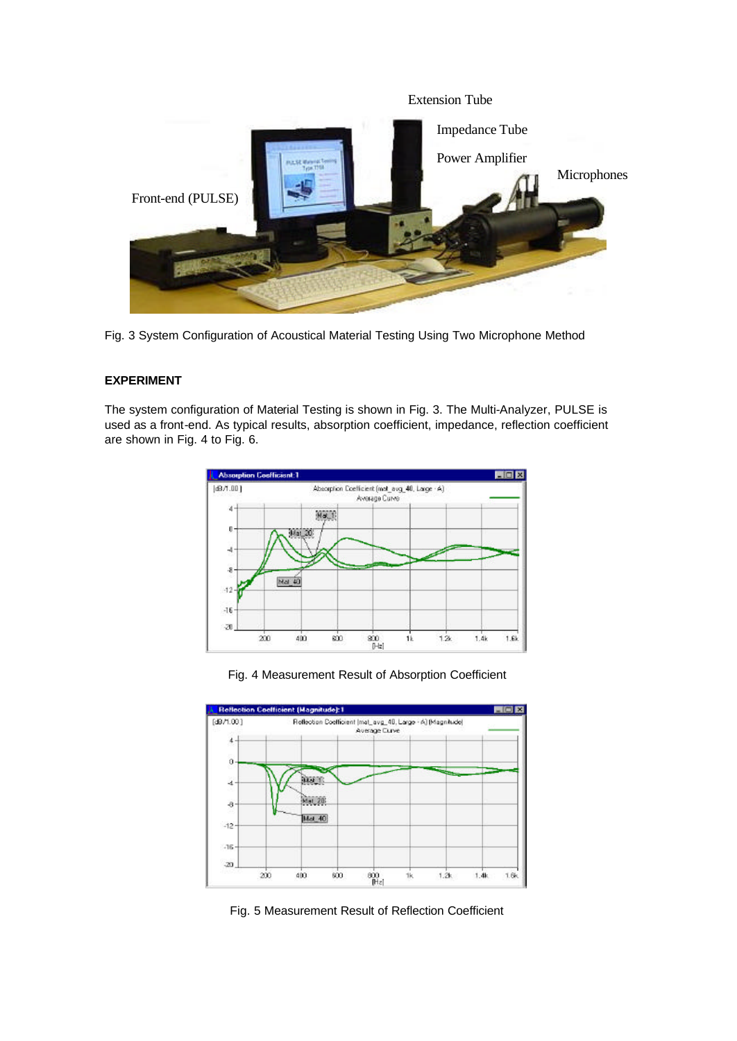

Fig. 3 System Configuration of Acoustical Material Testing Using Two Microphone Method

## **EXPERIMENT**

The system configuration of Material Testing is shown in Fig. 3. The Multi-Analyzer, PULSE is used as a front-end. As typical results, absorption coefficient, impedance, reflection coefficient are shown in Fig. 4 to Fig. 6.



Fig. 4 Measurement Result of Absorption Coefficient



Fig. 5 Measurement Result of Reflection Coefficient